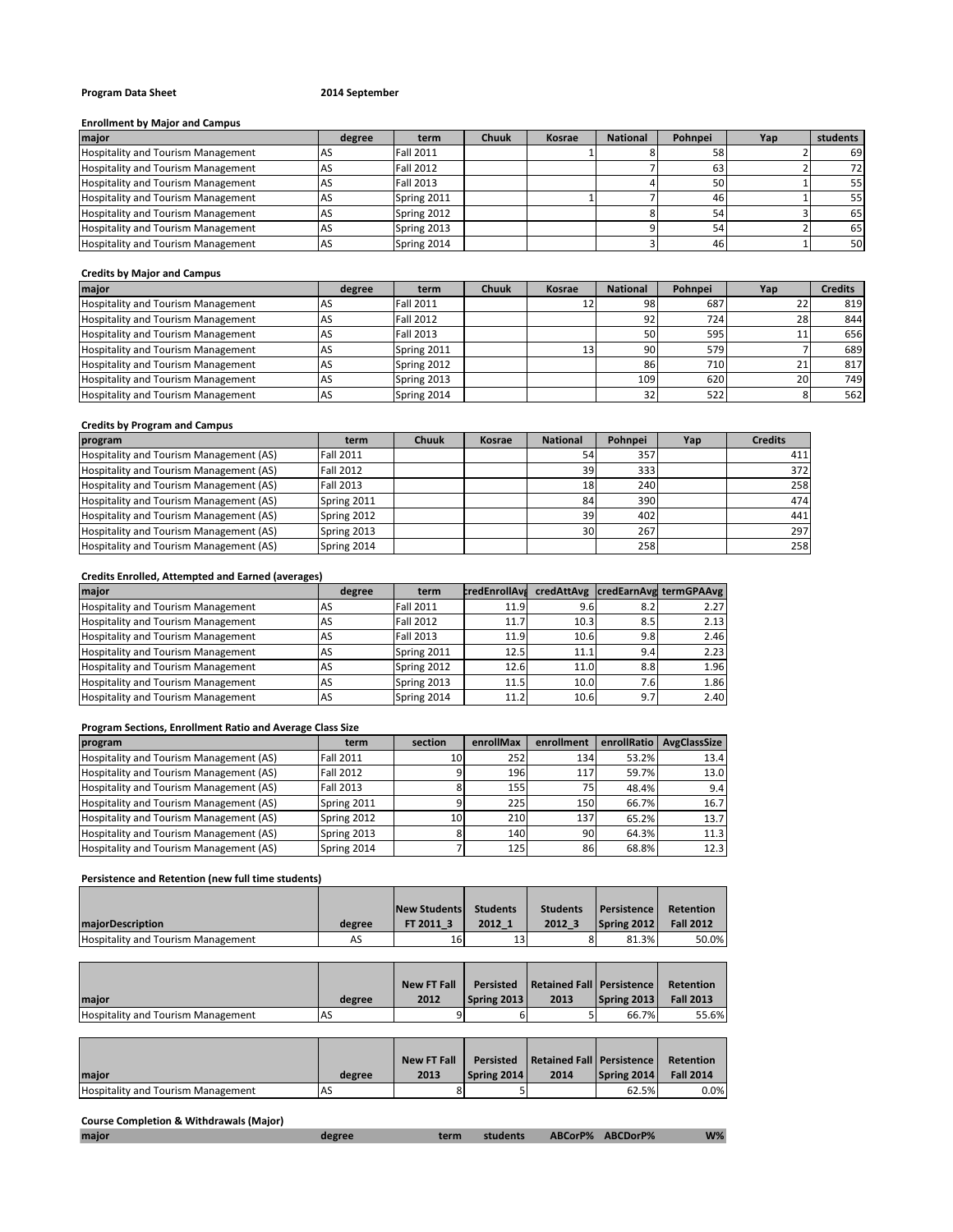## **Program Data Sheet 2014 September**

#### **Enrollment by Major and Campus**

| major                                     | degree | term             | <b>Chuuk</b> | Kosrae | <b>National</b> | Pohnpei | Yap | students |
|-------------------------------------------|--------|------------------|--------------|--------|-----------------|---------|-----|----------|
| <b>Hospitality and Tourism Management</b> |        | <b>Fall 2011</b> |              |        |                 | 58      |     | 69       |
| <b>Hospitality and Tourism Management</b> |        | <b>Fall 2012</b> |              |        |                 | 63      |     | 72       |
| <b>Hospitality and Tourism Management</b> |        | <b>Fall 2013</b> |              |        |                 | 50      |     | 55       |
| Hospitality and Tourism Management        |        | Spring 2011      |              |        |                 | 46      |     | 55       |
| <b>Hospitality and Tourism Management</b> |        | Spring 2012      |              |        |                 | 54      |     | 65       |
| <b>Hospitality and Tourism Management</b> |        | Spring 2013      |              |        |                 | 54      |     | 65       |
| Hospitality and Tourism Management        |        | Spring 2014      |              |        |                 | 46      |     | 50       |

## **Credits by Major and Campus**

| major                                     | degree | term             | <b>Chuuk</b> | Kosrae | <b>National</b> | Pohnpei | Yap          | <b>Credits</b> |
|-------------------------------------------|--------|------------------|--------------|--------|-----------------|---------|--------------|----------------|
| <b>Hospitality and Tourism Management</b> |        | <b>Fall 2011</b> |              | 12     | 98              | 687     | 22           | 819            |
| <b>Hospitality and Tourism Management</b> |        | <b>Fall 2012</b> |              |        | 92              | 724     | 28           | 844            |
| <b>Hospitality and Tourism Management</b> |        | <b>Fall 2013</b> |              |        | 50              | 595     |              | 656            |
| <b>Hospitality and Tourism Management</b> |        | Spring 2011      |              | 13     | 90              | 579     |              | 689            |
| <b>Hospitality and Tourism Management</b> |        | Spring 2012      |              |        | 86              | 710     | $\mathbf{a}$ | 817            |
| <b>Hospitality and Tourism Management</b> |        | Spring 2013      |              |        | 109             | 620     | 20           | 749            |
| <b>Hospitality and Tourism Management</b> |        | Spring 2014      |              |        | 32              | 522     |              | 562            |

#### **Credits by Program and Campus**

| program                                 | term             | <b>Chuuk</b> | Kosrae | <b>National</b> | Pohnpei | Yap | <b>Credits</b> |
|-----------------------------------------|------------------|--------------|--------|-----------------|---------|-----|----------------|
| Hospitality and Tourism Management (AS) | <b>Fall 2011</b> |              |        | 54              | 357     |     | 411            |
| Hospitality and Tourism Management (AS) | <b>Fall 2012</b> |              |        | 39              | 333     |     | 372            |
| Hospitality and Tourism Management (AS) | Fall 2013        |              |        | <b>18</b>       | 240     |     | 258            |
| Hospitality and Tourism Management (AS) | Spring 2011      |              |        | 84              | 390     |     | 474            |
| Hospitality and Tourism Management (AS) | Spring 2012      |              |        | 39              | 402     |     | 441            |
| Hospitality and Tourism Management (AS) | Spring 2013      |              |        | 30 <sup>1</sup> | 267     |     | 297            |
| Hospitality and Tourism Management (AS) | Spring 2014      |              |        |                 | 258     |     | 258            |

## **Credits Enrolled, Attempted and Earned (averages)**

| maior                                     | degree    | term             | <b>credEnrollAva</b> |      |      | credAttAvg credEarnAvg termGPAAvg |
|-------------------------------------------|-----------|------------------|----------------------|------|------|-----------------------------------|
| <b>Hospitality and Tourism Management</b> | AS        | <b>Fall 2011</b> | 11.9                 | 9.6  | 8.2  | 2.27                              |
| <b>Hospitality and Tourism Management</b> | AS        | <b>Fall 2012</b> | 11.7                 | 10.3 | 8.5  | 2.13                              |
| Hospitality and Tourism Management        | AS        | <b>Fall 2013</b> | 11.9                 | 10.6 | 9.8  | 2.46                              |
| Hospitality and Tourism Management        | <b>AS</b> | Spring 2011      | 12.5                 | 11.1 | 9.4  | 2.23                              |
| <b>Hospitality and Tourism Management</b> | AS        | Spring 2012      | 12.6                 | 11.0 | 8.8  | 1.96                              |
| <b>Hospitality and Tourism Management</b> | AS        | Spring 2013      | 11.5                 | 10.0 | 7.61 | 1.86                              |
| <b>Hospitality and Tourism Management</b> | AS        | Spring 2014      | 11.2                 | 10.6 | 9.7  | 2.40                              |

## **Program Sections, Enrollment Ratio and Average Class Size**

| program                                 | term             | section | enrollMax | enrollment       | enrollRatio | AvgClassSize |
|-----------------------------------------|------------------|---------|-----------|------------------|-------------|--------------|
| Hospitality and Tourism Management (AS) | <b>Fall 2011</b> | 10      | 252       | 134 <sup>I</sup> | 53.2%       | 13.4         |
| Hospitality and Tourism Management (AS) | <b>Fall 2012</b> |         | 196       | 117              | 59.7%       | 13.0         |
| Hospitality and Tourism Management (AS) | <b>Fall 2013</b> |         | 155       | 75               | 48.4%       | 9.4          |
| Hospitality and Tourism Management (AS) | Spring 2011      |         | 225       | 150              | 66.7%       | 16.7         |
| Hospitality and Tourism Management (AS) | Spring 2012      | 10      | 210       | 137              | 65.2%       | 13.7         |
| Hospitality and Tourism Management (AS) | Spring 2013      |         | 140       | 90               | 64.3%       | 11.3         |
| Hospitality and Tourism Management (AS) | Spring 2014      |         | 125       | 86               | 68.8%       | 12.3         |

## **Persistence and Retention (new full time students)**

|                                           |        | <b>New Students</b> | <b>Students</b> | <b>Students</b> | <b>I</b> Persistence | Retention        |
|-------------------------------------------|--------|---------------------|-----------------|-----------------|----------------------|------------------|
| <b>maiorDescription</b>                   | degree | FT 2011 3           | 2012 1          | 2012 3          | Spring 2012          | <b>Fall 2012</b> |
| <b>Hospitality and Tourism Management</b> | AS     | 16                  |                 |                 | 81.3%                | 50.0%            |

| <b>Imaior</b>                             | degree | <b>New FT Fall</b><br>2012 | <b>Persisted</b><br>Spring 2013 | Retained Fall   Persistence  <br>2013 | Spring 2013 | Retention<br><b>Fall 2013</b> |
|-------------------------------------------|--------|----------------------------|---------------------------------|---------------------------------------|-------------|-------------------------------|
|                                           |        |                            |                                 |                                       |             |                               |
| <b>Hospitality and Tourism Management</b> | AS-    |                            |                                 |                                       | 66.7%       | 55.6%                         |

|                                           |           | <b>New FT Fall</b> | <b>Persisted</b> | Retained Fall   Persistence |             | Retention        |
|-------------------------------------------|-----------|--------------------|------------------|-----------------------------|-------------|------------------|
| maior                                     | degree    | 2013               | Spring 2014      | 2014                        | Spring 2014 | <b>Fall 2014</b> |
| <b>Hospitality and Tourism Management</b> | <b>AS</b> |                    |                  |                             | 62.5%       | $0.0\%$          |

## **Course Completion & Withdrawals (Major)**

| major | degree | term | students | ABCorP% ABCDorP% | $W\%$ |
|-------|--------|------|----------|------------------|-------|
|       |        |      |          |                  |       |